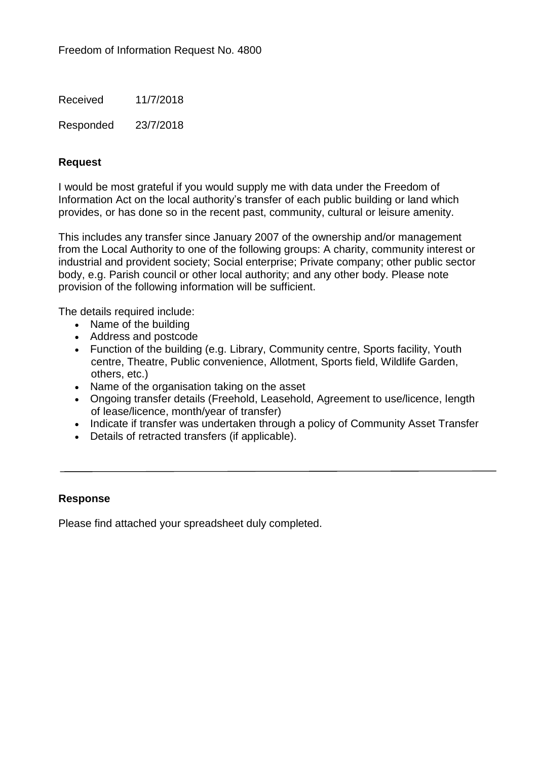Received 11/7/2018

Responded 23/7/2018

## **Request**

I would be most grateful if you would supply me with data under the Freedom of Information Act on the local authority's transfer of each public building or land which provides, or has done so in the recent past, community, cultural or leisure amenity.

This includes any transfer since January 2007 of the ownership and/or management from the Local Authority to one of the following groups: A charity, community interest or industrial and provident society; Social enterprise; Private company; other public sector body, e.g. Parish council or other local authority; and any other body. Please note provision of the following information will be sufficient.

The details required include:

- Name of the building
- Address and postcode
- Function of the building (e.g. Library, Community centre, Sports facility, Youth centre, Theatre, Public convenience, Allotment, Sports field, Wildlife Garden, others, etc.)
- Name of the organisation taking on the asset
- Ongoing transfer details (Freehold, Leasehold, Agreement to use/licence, length of lease/licence, month/year of transfer)
- Indicate if transfer was undertaken through a policy of Community Asset Transfer
- Details of retracted transfers (if applicable).

## **Response**

Please find attached your spreadsheet duly completed.